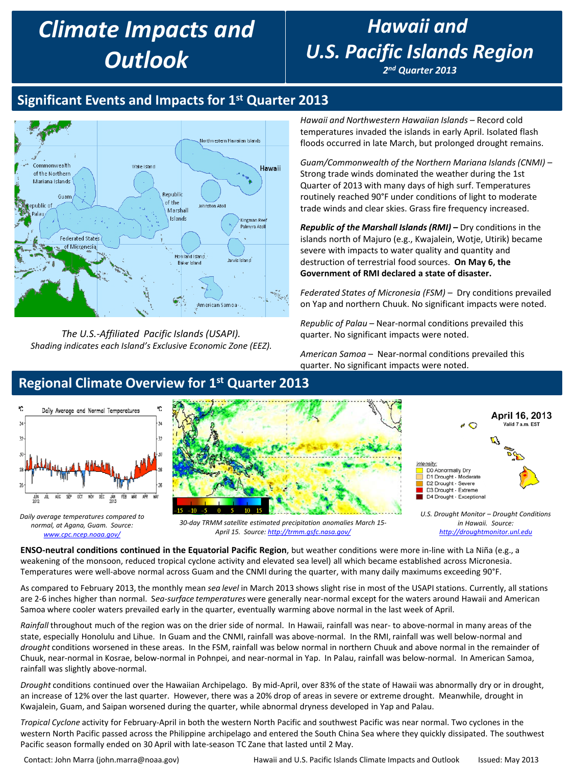# *Climate Impacts and Outlook*

# *Hawaii and U.S. Pacific Islands Region*

*2nd Quarter 2013*

## **Significant Events and Impacts for 1st Quarter 2013**



*The U.S.-Affiliated Pacific Islands (USAPI). Shading indicates each Island's Exclusive Economic Zone (EEZ).* 

٠

 $\overline{\mathbf{3}}$ 

Y  $\mathcal{S}$  *Hawaii and Northwestern Hawaiian Islands* – Record cold temperatures invaded the islands in early April. Isolated flash floods occurred in late March, but prolonged drought remains.

*Guam/Commonwealth of the Northern Mariana Islands (CNMI)* – Strong trade winds dominated the weather during the 1st Quarter of 2013 with many days of high surf. Temperatures routinely reached 90°F under conditions of light to moderate trade winds and clear skies. Grass fire frequency increased.

*Republic of the Marshall Islands (RMI)* **–** Dry conditions in the islands north of Majuro (e.g., Kwajalein, Wotje, Utirik) became severe with impacts to water quality and quantity and destruction of terrestrial food sources. **On May 6, the Government of RMI declared a state of disaster.**

*Federated States of Micronesia (FSM)* – Dry conditions prevailed on Yap and northern Chuuk. No significant impacts were noted.

*Republic of Palau* – Near-normal conditions prevailed this quarter. No significant impacts were noted.

*American Samoa* – Near-normal conditions prevailed this quarter. No significant impacts were noted.

#### Daily Average and Normal Temperatures April 16, 2013  $\bigcirc$ Valid 7 a.m. EST D0 Abnormally Dry D1 Drought - Moderate D2 Drought - Severe D3 Drought - Extreme FÉB WAR APR JÙ. ABC. sіР OСТ NÒV DÈC  $\frac{3M}{2013}$ D4 Drought - Exceptional *U.S. Drought Monitor – Drought Conditions Daily average temperatures compared to 30-day TRMM satellite estimated precipitation anomalies March 15 in Hawaii. Source: normal, at Agana, Guam. Source: April 15. Source: <http://trmm.gsfc.nasa.gov/> [http://droughtmonitor.unl.edu](http://droughtmonitor.unl.edu/) [www.cpc.ncep.noaa.gov/](http://www.cpc.ncep.noaa.gov/)*

**ENSO-neutral conditions continued in the Equatorial Pacific Region**, but weather conditions were more in-line with La Niña (e.g., a weakening of the monsoon, reduced tropical cyclone activity and elevated sea level) all which became established across Micronesia. Temperatures were well-above normal across Guam and the CNMI during the quarter, with many daily maximums exceeding 90°F.

As compared to February 2013, the monthly mean *sea level* in March 2013 shows slight rise in most of the USAPI stations. Currently, all stations are 2-6 inches higher than normal. S*ea-surface temperatures* were generally near-normal except for the waters around Hawaii and American Samoa where cooler waters prevailed early in the quarter, eventually warming above normal in the last week of April.

*Rainfall* throughout much of the region was on the drier side of normal. In Hawaii, rainfall was near- to above-normal in many areas of the state, especially Honolulu and Lihue. In Guam and the CNMI, rainfall was above-normal. In the RMI, rainfall was well below-normal and *drought* conditions worsened in these areas. In the FSM, rainfall was below normal in northern Chuuk and above normal in the remainder of Chuuk, near-normal in Kosrae, below-normal in Pohnpei, and near-normal in Yap. In Palau, rainfall was below-normal. In American Samoa, rainfall was slightly above-normal.

*Drought* conditions continued over the Hawaiian Archipelago. By mid-April, over 83% of the state of Hawaii was abnormally dry or in drought, an increase of 12% over the last quarter. However, there was a 20% drop of areas in severe or extreme drought. Meanwhile, drought in Kwajalein, Guam, and Saipan worsened during the quarter, while abnormal dryness developed in Yap and Palau.

*Tropical Cyclone* activity for February-April in both the western North Pacific and southwest Pacific was near normal. Two cyclones in the western North Pacific passed across the Philippine archipelago and entered the South China Sea where they quickly dissipated. The southwest Pacific season formally ended on 30 April with late-season TC Zane that lasted until 2 May.

Contact: John Marra (john.marra@noaa.gov) Hawaii and U.S. Pacific Islands Climate Impacts and Outlook Issued: May 2013

**Regional Climate Overview for 1st Quarter 2013**